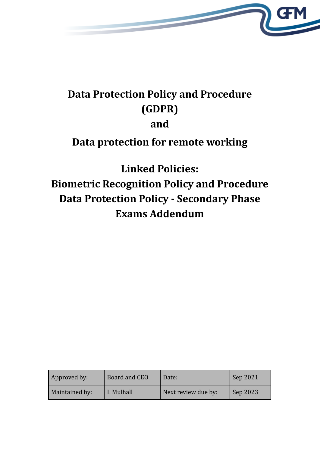

# **Data Protection Policy and Procedure (GDPR) and**

# **Data protection for remote working**

**Linked Policies: Biometric Recognition Policy and Procedure Data Protection Policy - Secondary Phase Exams Addendum**

| Approved by:   | Board and CEO | Date:               | Sep 2021                 |
|----------------|---------------|---------------------|--------------------------|
| Maintained by: | L Mulhall     | Next review due by: | $\sqrt{\text{Sep }2023}$ |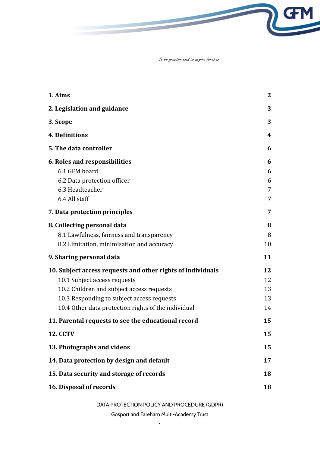$\overline{1}$ 

| 1. Aims                                                     | $\mathbf{2}$ |
|-------------------------------------------------------------|--------------|
| 2. Legislation and guidance                                 | 3            |
| 3. Scope                                                    | 3            |
| 4. Definitions                                              | 4            |
| 5. The data controller                                      | 6            |
| 6. Roles and responsibilities                               | 6            |
| 6.1 GFM board                                               | 6            |
| 6.2 Data protection officer                                 | 6            |
| 6.3 Headteacher                                             | 7            |
| 6.4 All staff                                               | 7            |
| 7. Data protection principles                               | 7            |
| 8. Collecting personal data                                 | 8            |
| 8.1 Lawfulness, fairness and transparency                   | 8            |
| 8.2 Limitation, minimisation and accuracy                   | 10           |
| 9. Sharing personal data                                    | 11           |
| 10. Subject access requests and other rights of individuals | 12           |
| 10.1 Subject access requests                                | 12           |
| 10.2 Children and subject access requests                   | 13           |
| 10.3 Responding to subject access requests                  | 13           |
| 10.4 Other data protection rights of the individual         | 14           |
| 11. Parental requests to see the educational record         | 15           |
| <b>12. CCTV</b>                                             | 15           |
| 13. Photographs and videos                                  | 15           |
| 14. Data protection by design and default                   |              |
| 15. Data security and storage of records                    |              |
| 16. Disposal of records                                     |              |

DATA PROTECTION POLICY AND PROCEDURE (GDPR)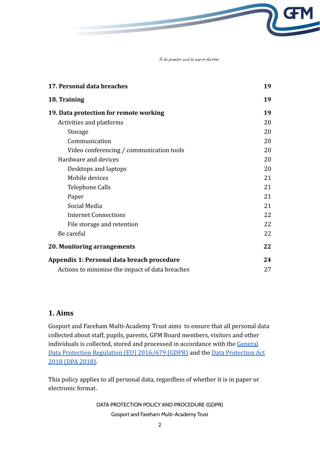| 17. Personal data breaches                      | 19 |
|-------------------------------------------------|----|
| 18. Training                                    | 19 |
| 19. Data protection for remote working          | 19 |
| Activities and platforms                        | 20 |
| Storage                                         | 20 |
| Communication                                   | 20 |
| Video conferencing / communication tools        | 20 |
| Hardware and devices                            | 20 |
| Desktops and laptops                            | 20 |
| Mobile devices                                  | 21 |
| Telephone Calls                                 | 21 |
| Paper                                           | 21 |
| Social Media                                    | 21 |
| <b>Internet Connections</b>                     | 22 |
| File storage and retention                      | 22 |
| Be careful                                      | 22 |
| 20. Monitoring arrangements                     | 22 |
| Appendix 1: Personal data breach procedure      | 24 |
| Actions to minimise the impact of data breaches | 27 |

## <span id="page-2-0"></span>**1. Aims**

Gosport and Fareham Multi-Academy Trust aims to ensure that all personal data collected about staff, pupils, parents, GFM Board members, visitors and other individuals is collected, stored and processed in accordance with the [General](https://eur-lex.europa.eu/legal-content/EN/TXT/?qid=1528874672298&uri=CELEX:02016R0679-20160504) [Data Protection Regulation \(EU\) 2016/679 \(GDPR\)](https://eur-lex.europa.eu/legal-content/EN/TXT/?qid=1528874672298&uri=CELEX:02016R0679-20160504) and the [Data Protection Act](http://www.legislation.gov.uk/ukpga/2018/12/contents/enacted) [2018 \(DPA 2018\).](http://www.legislation.gov.uk/ukpga/2018/12/contents/enacted)

This policy applies to all personal data, regardless of whether it is in paper or electronic format.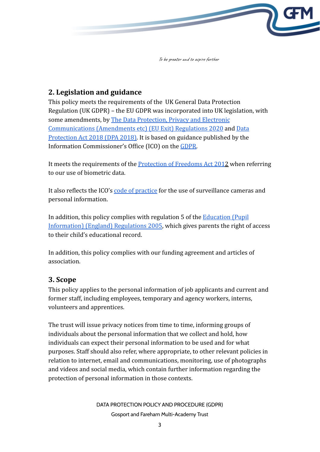

# <span id="page-3-0"></span>**2. Legislation and guidance**

This policy meets the requirements of the UK General Data Protection Regulation (UK GDPR) – the EU GDPR was incorporated into UK legislation, with some amendments, by [The Data Protection, Privacy and](https://www.legislation.gov.uk/uksi/2020/1586/made) Electronic [Communications \(Amendments etc\) \(EU Exit\) Regulations 2020](https://www.legislation.gov.uk/uksi/2020/1586/made) and [Data](http://www.legislation.gov.uk/ukpga/2018/12/contents/enacted) [Protection Act 2018 \(DPA 2018\).](http://www.legislation.gov.uk/ukpga/2018/12/contents/enacted) It is based on guidance published by the Information Commissioner's Office (ICO) on the [GDPR.](https://ico.org.uk/for-organisations/guide-to-the-general-data-protection-regulation-gdpr/)

It meets the requirements of the **[Protection of Freedoms](https://www.legislation.gov.uk/ukpga/2012/9/part/1/chapter/2) Act 2012** when referring to our use of biometric data.

It also reflects the ICO's [code of practice](https://ico.org.uk/media/for-organisations/documents/1542/cctv-code-of-practice.pdf) for the use of surveillance cameras and personal information.

In addition, this policy complies with regulation 5 of the [Education \(Pupil](http://www.legislation.gov.uk/uksi/2005/1437/regulation/5/made) [Information\) \(England\) Regulations 2005](http://www.legislation.gov.uk/uksi/2005/1437/regulation/5/made), which gives parents the right of access to their child's educational record.

In addition, this policy complies with our funding agreement and articles of association.

## <span id="page-3-1"></span>**3. Scope**

This policy applies to the personal information of job applicants and current and former staff, including employees, temporary and agency workers, interns, volunteers and apprentices.

The trust will issue privacy notices from time to time, informing groups of individuals about the personal information that we collect and hold, how individuals can expect their personal information to be used and for what purposes. Staff should also refer, where appropriate, to other relevant policies in relation to internet, email and communications, monitoring, use of photographs and videos and social media, which contain further information regarding the protection of personal information in those contexts.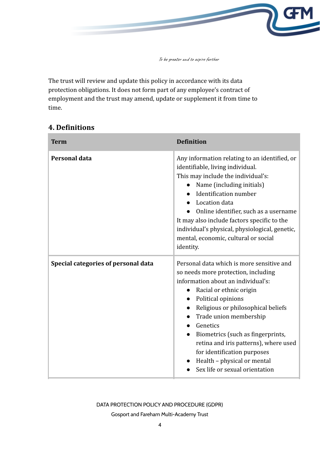The trust will review and update this policy in accordance with its data protection obligations. It does not form part of any employee's contract of employment and the trust may amend, update or supplement it from time to time.

| <b>Term</b>                         | <b>Definition</b>                                                                                                                                                                                                                                                                                                                                                                                                                              |  |
|-------------------------------------|------------------------------------------------------------------------------------------------------------------------------------------------------------------------------------------------------------------------------------------------------------------------------------------------------------------------------------------------------------------------------------------------------------------------------------------------|--|
| <b>Personal data</b>                | Any information relating to an identified, or<br>identifiable, living individual.<br>This may include the individual's:<br>Name (including initials)<br>Identification number<br>Location data<br>Online identifier, such as a username<br>It may also include factors specific to the<br>individual's physical, physiological, genetic,<br>mental, economic, cultural or social<br>identity.                                                  |  |
| Special categories of personal data | Personal data which is more sensitive and<br>so needs more protection, including<br>information about an individual's:<br>Racial or ethnic origin<br>$\bullet$<br>Political opinions<br>Religious or philosophical beliefs<br>Trade union membership<br>Genetics<br>Biometrics (such as fingerprints,<br>retina and iris patterns), where used<br>for identification purposes<br>Health - physical or mental<br>Sex life or sexual orientation |  |

# <span id="page-4-0"></span>**4. Definitions**

DATA PROTECTION POLICY AND PROCEDURE (GDPR)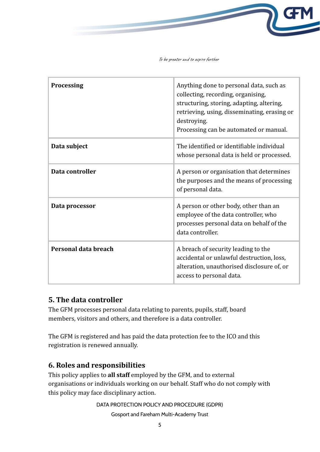| <b>Processing</b>    | Anything done to personal data, such as<br>collecting, recording, organising,<br>structuring, storing, adapting, altering,<br>retrieving, using, disseminating, erasing or<br>destroying.<br>Processing can be automated or manual. |
|----------------------|-------------------------------------------------------------------------------------------------------------------------------------------------------------------------------------------------------------------------------------|
| Data subject         | The identified or identifiable individual<br>whose personal data is held or processed.                                                                                                                                              |
| Data controller      | A person or organisation that determines<br>the purposes and the means of processing<br>of personal data.                                                                                                                           |
| Data processor       | A person or other body, other than an<br>employee of the data controller, who<br>processes personal data on behalf of the<br>data controller.                                                                                       |
| Personal data breach | A breach of security leading to the<br>accidental or unlawful destruction, loss,<br>alteration, unauthorised disclosure of, or<br>access to personal data.                                                                          |

## <span id="page-5-0"></span>**5. The data controller**

The GFM processes personal data relating to parents, pupils, staff, board members, visitors and others, and therefore is a data controller.

The GFM is registered and has paid the data protection fee to the ICO and this registration is renewed annually.

# <span id="page-5-1"></span>**6. Roles and responsibilities**

This policy applies to **all staff** employed by the GFM, and to external organisations or individuals working on our behalf. Staff who do not comply with this policy may face disciplinary action.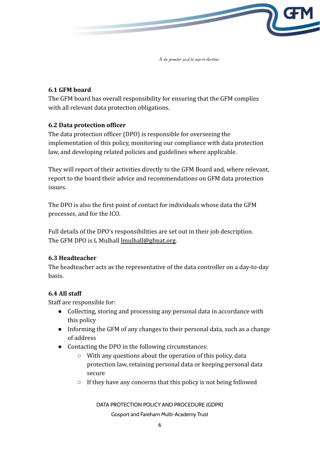

### <span id="page-6-0"></span>**6.1 GFM board**

The GFM board has overall responsibility for ensuring that the GFM complies with all relevant data protection obligations.

### <span id="page-6-1"></span>**6.2 Data protection officer**

The data protection officer (DPO) is responsible for overseeing the implementation of this policy, monitoring our compliance with data protection law, and developing related policies and guidelines where applicable.

They will report of their activities directly to the GFM Board and, where relevant, report to the board their advice and recommendations on GFM data protection issues.

The DPO is also the first point of contact for individuals whose data the GFM processes, and for the ICO.

Full details of the DPO's responsibilities are set out in their job description. The GFM DPO is L Mulhall lmulhall@gfmat.org.

### <span id="page-6-2"></span>**6.3 Headteacher**

The headteacher acts as the representative of the data controller on a day-to-day basis.

## <span id="page-6-3"></span>**6.4 All staff**

Staff are responsible for:

- Collecting, storing and processing any personal data in accordance with this policy
- Informing the GFM of any changes to their personal data, such as a change of address
- Contacting the DPO in the following circumstances:
	- With any questions about the operation of this policy, data protection law, retaining personal data or keeping personal data secure
	- $\circ$  If they have any concerns that this policy is not being followed

DATA PROTECTION POLICY AND PROCEDURE (GDPR)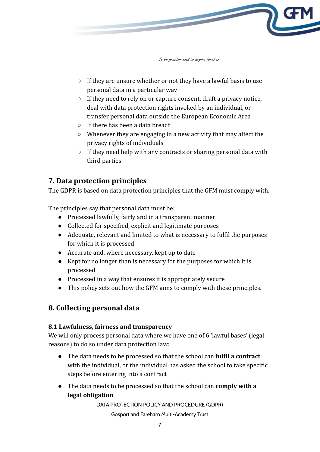

- $\circ$  If they are unsure whether or not they have a lawful basis to use personal data in a particular way
- If they need to rely on or capture consent, draft a privacy notice, deal with data protection rights invoked by an individual, or transfer personal data outside the European Economic Area
- $\circ$  If there has been a data breach
- Whenever they are engaging in a new activity that may affect the privacy rights of individuals
- $\circ$  If they need help with any contracts or sharing personal data with third parties

# <span id="page-7-0"></span>**7. Data protection principles**

The GDPR is based on data protection principles that the GFM must comply with.

The principles say that personal data must be:

- Processed lawfully, fairly and in a transparent manner
- Collected for specified, explicit and legitimate purposes
- Adequate, relevant and limited to what is necessary to fulfil the purposes for which it is processed
- Accurate and, where necessary, kept up to date
- Kept for no longer than is necessary for the purposes for which it is processed
- Processed in a way that ensures it is appropriately secure
- This policy sets out how the GFM aims to comply with these principles.

# <span id="page-7-1"></span>**8. Collecting personal data**

#### <span id="page-7-2"></span>**8.1 Lawfulness, fairness and transparency**

We will only process personal data where we have one of 6 'lawful bases' (legal reasons) to do so under data protection law:

- The data needs to be processed so that the school can **fulfil a contract** with the individual, or the individual has asked the school to take specific steps before entering into a contract
- The data needs to be processed so that the school can **comply with a legal obligation**

DATA PROTECTION POLICY AND PROCEDURE (GDPR)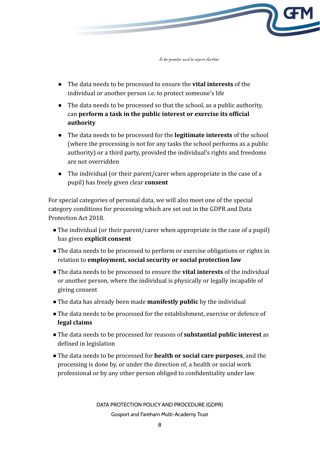

- The data needs to be processed to ensure the **vital interests** of the individual or another person i.e. to protect someone's life
- The data needs to be processed so that the school, as a public authority, can **perform a task in the public interest or exercise its official authority**
- The data needs to be processed for the **legitimate interests** of the school (where the processing is not for any tasks the school performs as a public authority) or a third party, provided the individual's rights and freedoms are not overridden
- The individual (or their parent/carer when appropriate in the case of a pupil) has freely given clear **consent**

For special categories of personal data, we will also meet one of the special category conditions for processing which are set out in the GDPR and Data Protection Act 2018.

- The individual (or their parent/carer when appropriate in the case of a pupil) has given **explicit consent**
- The data needs to be processed to perform or exercise obligations or rights in relation to **employment, social security or social protection law**
- ●The data needs to be processed to ensure the **vital interests** of the individual or another person, where the individual is physically or legally incapable of giving consent
- ●The data has already been made **manifestly public** by the individual
- ●The data needs to be processed for the establishment, exercise or defence of **legal claims**
- ●The data needs to be processed for reasons of **substantial public interest** as defined in legislation
- ●The data needs to be processed for **health or social care purposes**, and the processing is done by, or under the direction of, a health or social work professional or by any other person obliged to confidentiality under law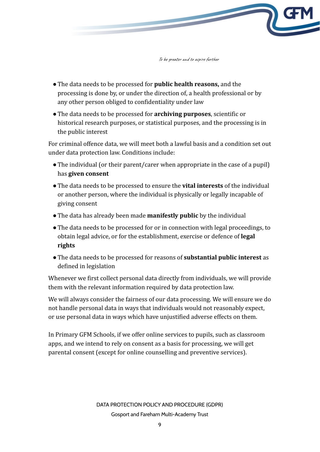

- ●The data needs to be processed for **public health reasons,** and the processing is done by, or under the direction of, a health professional or by any other person obliged to confidentiality under law
- ●The data needs to be processed for **archiving purposes**, scientific or historical research purposes, or statistical purposes, and the processing is in the public interest

For criminal offence data, we will meet both a lawful basis and a condition set out under data protection law. Conditions include:

- The individual (or their parent/carer when appropriate in the case of a pupil) has **given consent**
- ●The data needs to be processed to ensure the **vital interests** of the individual or another person, where the individual is physically or legally incapable of giving consent
- ●The data has already been made **manifestly public** by the individual
- ●The data needs to be processed for or in connection with legal proceedings, to obtain legal advice, or for the establishment, exercise or defence of **legal rights**
- ●The data needs to be processed for reasons of **substantial public interest** as defined in legislation

Whenever we first collect personal data directly from individuals, we will provide them with the relevant information required by data protection law.

We will always consider the fairness of our data processing. We will ensure we do not handle personal data in ways that individuals would not reasonably expect, or use personal data in ways which have unjustified adverse effects on them.

In Primary GFM Schools, if we offer online services to pupils, such as classroom apps, and we intend to rely on consent as a basis for processing, we will get parental consent (except for online counselling and preventive services).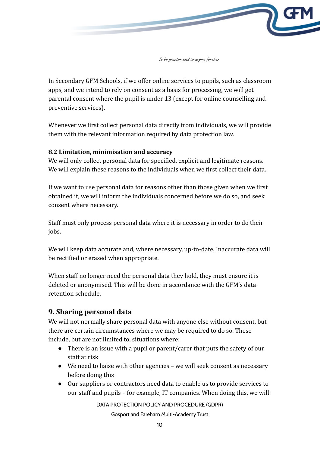

In Secondary GFM Schools, if we offer online services to pupils, such as classroom apps, and we intend to rely on consent as a basis for processing, we will get parental consent where the pupil is under 13 (except for online counselling and preventive services).

Whenever we first collect personal data directly from individuals, we will provide them with the relevant information required by data protection law.

### <span id="page-10-0"></span>**8.2 Limitation, minimisation and accuracy**

We will only collect personal data for specified, explicit and legitimate reasons. We will explain these reasons to the individuals when we first collect their data.

If we want to use personal data for reasons other than those given when we first obtained it, we will inform the individuals concerned before we do so, and seek consent where necessary.

Staff must only process personal data where it is necessary in order to do their jobs.

We will keep data accurate and, where necessary, up-to-date. Inaccurate data will be rectified or erased when appropriate.

When staff no longer need the personal data they hold, they must ensure it is deleted or anonymised. This will be done in accordance with the GFM's data retention schedule.

# <span id="page-10-1"></span>**9. Sharing personal data**

We will not normally share personal data with anyone else without consent, but there are certain circumstances where we may be required to do so. These include, but are not limited to, situations where:

- There is an issue with a pupil or parent/carer that puts the safety of our staff at risk
- We need to liaise with other agencies we will seek consent as necessary before doing this
- Our suppliers or contractors need data to enable us to provide services to our staff and pupils – for example, IT companies. When doing this, we will: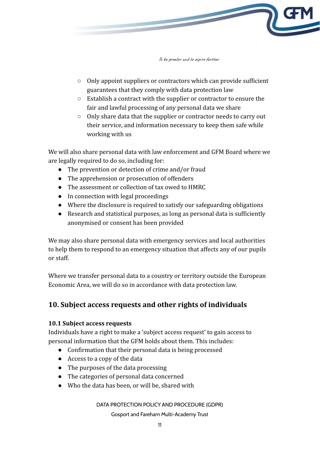

- Only appoint suppliers or contractors which can provide sufficient guarantees that they comply with data protection law
- Establish a contract with the supplier or contractor to ensure the fair and lawful processing of any personal data we share
- Only share data that the supplier or contractor needs to carry out their service, and information necessary to keep them safe while working with us

We will also share personal data with law enforcement and GFM Board where we are legally required to do so, including for:

- The prevention or detection of crime and/or fraud
- The apprehension or prosecution of offenders
- The assessment or collection of tax owed to HMRC
- In connection with legal proceedings
- Where the disclosure is required to satisfy our safeguarding obligations
- Research and statistical purposes, as long as personal data is sufficiently anonymised or consent has been provided

We may also share personal data with emergency services and local authorities to help them to respond to an emergency situation that affects any of our pupils or staff.

Where we transfer personal data to a country or territory outside the European Economic Area, we will do so in accordance with data protection law.

# <span id="page-11-0"></span>**10. Subject access requests and other rights of individuals**

### <span id="page-11-1"></span>**10.1 Subject access requests**

Individuals have a right to make a 'subject access request' to gain access to personal information that the GFM holds about them. This includes:

- Confirmation that their personal data is being processed
- Access to a copy of the data
- The purposes of the data processing
- The categories of personal data concerned
- Who the data has been, or will be, shared with

#### DATA PROTECTION POLICY AND PROCEDURE (GDPR)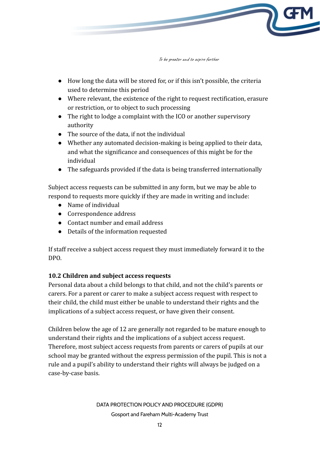

- How long the data will be stored for, or if this isn't possible, the criteria used to determine this period
- Where relevant, the existence of the right to request rectification, erasure or restriction, or to object to such processing
- The right to lodge a complaint with the ICO or another supervisory authority
- The source of the data, if not the individual
- Whether any automated decision-making is being applied to their data, and what the significance and consequences of this might be for the individual
- The safeguards provided if the data is being transferred internationally

Subject access requests can be submitted in any form, but we may be able to respond to requests more quickly if they are made in writing and include:

- Name of individual
- Correspondence address
- Contact number and email address
- Details of the information requested

If staff receive a subject access request they must immediately forward it to the DPO.

### <span id="page-12-0"></span>**10.2 Children and subject access requests**

Personal data about a child belongs to that child, and not the child's parents or carers. For a parent or carer to make a subject access request with respect to their child, the child must either be unable to understand their rights and the implications of a subject access request, or have given their consent.

Children below the age of 12 are generally not regarded to be mature enough to understand their rights and the implications of a subject access request. Therefore, most subject access requests from parents or carers of pupils at our school may be granted without the express permission of the pupil. This is not a rule and a pupil's ability to understand their rights will always be judged on a case-by-case basis.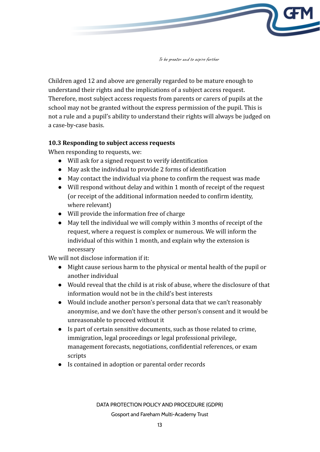Children aged 12 and above are generally regarded to be mature enough to understand their rights and the implications of a subject access request. Therefore, most subject access requests from parents or carers of pupils at the school may not be granted without the express permission of the pupil. This is not a rule and a pupil's ability to understand their rights will always be judged on a case-by-case basis.

### <span id="page-13-0"></span>**10.3 Responding to subject access requests**

When responding to requests, we:

- Will ask for a signed request to verify identification
- May ask the individual to provide 2 forms of identification
- May contact the individual via phone to confirm the request was made
- Will respond without delay and within 1 month of receipt of the request (or receipt of the additional information needed to confirm identity, where relevant)
- Will provide the information free of charge
- May tell the individual we will comply within 3 months of receipt of the request, where a request is complex or numerous. We will inform the individual of this within 1 month, and explain why the extension is necessary

We will not disclose information if it:

- Might cause serious harm to the physical or mental health of the pupil or another individual
- Would reveal that the child is at risk of abuse, where the disclosure of that information would not be in the child's best interests
- Would include another person's personal data that we can't reasonably anonymise, and we don't have the other person's consent and it would be unreasonable to proceed without it
- Is part of certain sensitive documents, such as those related to crime, immigration, legal proceedings or legal professional privilege, management forecasts, negotiations, confidential references, or exam scripts
- Is contained in adoption or parental order records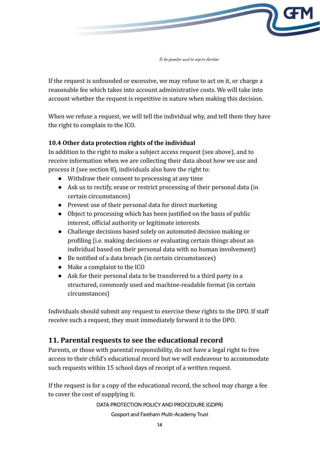If the request is unfounded or excessive, we may refuse to act on it, or charge a reasonable fee which takes into account administrative costs. We will take into account whether the request is repetitive in nature when making this decision.

When we refuse a request, we will tell the individual why, and tell them they have the right to complain to the ICO.

# <span id="page-14-0"></span>**10.4 Other data protection rights of the individual**

In addition to the right to make a subject access request (see above), and to receive information when we are collecting their data about how we use and process it (see section 8), individuals also have the right to:

- Withdraw their consent to processing at any time
- Ask us to rectify, erase or restrict processing of their personal data (in certain circumstances)
- Prevent use of their personal data for direct marketing
- Object to processing which has been justified on the basis of public interest, official authority or legitimate interests
- Challenge decisions based solely on automated decision making or profiling (i.e. making decisions or evaluating certain things about an individual based on their personal data with no human involvement)
- Be notified of a data breach (in certain circumstances)
- Make a complaint to the ICO
- Ask for their personal data to be transferred to a third party in a structured, commonly used and machine-readable format (in certain circumstances)

Individuals should submit any request to exercise these rights to the DPO. If staff receive such a request, they must immediately forward it to the DPO.

# <span id="page-14-1"></span>**11. Parental requests to see the educational record**

Parents, or those with parental responsibility, do not have a legal right to free access to their child's educational record but we will endeavour to accommodate such requests within 15 school days of receipt of a written request.

If the request is for a copy of the educational record, the school may charge a fee to cover the cost of supplying it.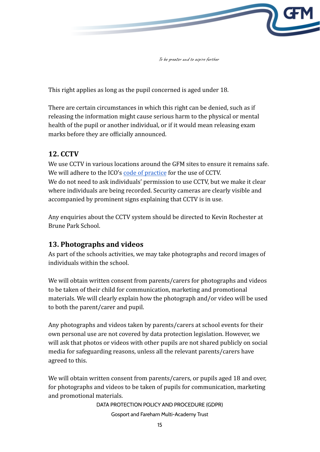

This right applies as long as the pupil concerned is aged under 18.

There are certain circumstances in which this right can be denied, such as if releasing the information might cause serious harm to the physical or mental health of the pupil or another individual, or if it would mean releasing exam marks before they are officially announced.

# <span id="page-15-0"></span>**12. CCTV**

We use CCTV in various locations around the GFM sites to ensure it remains safe. We will adhere to the ICO's [code of practice](https://ico.org.uk/media/for-organisations/documents/1542/cctv-code-of-practice.pdf) for the use of CCTV. We do not need to ask individuals' permission to use CCTV, but we make it clear where individuals are being recorded. Security cameras are clearly visible and accompanied by prominent signs explaining that CCTV is in use.

Any enquiries about the CCTV system should be directed to Kevin Rochester at Brune Park School.

# <span id="page-15-1"></span>**13. Photographs and videos**

As part of the schools activities, we may take photographs and record images of individuals within the school.

We will obtain written consent from parents/carers for photographs and videos to be taken of their child for communication, marketing and promotional materials. We will clearly explain how the photograph and/or video will be used to both the parent/carer and pupil.

Any photographs and videos taken by parents/carers at school events for their own personal use are not covered by data protection legislation. However, we will ask that photos or videos with other pupils are not shared publicly on social media for safeguarding reasons, unless all the relevant parents/carers have agreed to this.

We will obtain written consent from parents/carers, or pupils aged 18 and over, for photographs and videos to be taken of pupils for communication, marketing and promotional materials.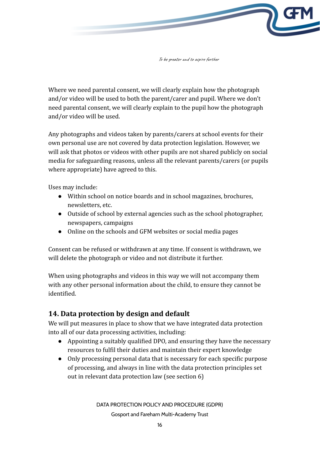Where we need parental consent, we will clearly explain how the photograph and/or video will be used to both the parent/carer and pupil. Where we don't need parental consent, we will clearly explain to the pupil how the photograph and/or video will be used.

Any photographs and videos taken by parents/carers at school events for their own personal use are not covered by data protection legislation. However, we will ask that photos or videos with other pupils are not shared publicly on social media for safeguarding reasons, unless all the relevant parents/carers (or pupils where appropriate) have agreed to this.

Uses may include:

- Within school on notice boards and in school magazines, brochures, newsletters, etc.
- Outside of school by external agencies such as the school photographer, newspapers, campaigns
- Online on the schools and GFM websites or social media pages

Consent can be refused or withdrawn at any time. If consent is withdrawn, we will delete the photograph or video and not distribute it further.

When using photographs and videos in this way we will not accompany them with any other personal information about the child, to ensure they cannot be identified.

# <span id="page-16-0"></span>**14. Data protection by design and default**

We will put measures in place to show that we have integrated data protection into all of our data processing activities, including:

- Appointing a suitably qualified DPO, and ensuring they have the necessary resources to fulfil their duties and maintain their expert knowledge
- Only processing personal data that is necessary for each specific purpose of processing, and always in line with the data protection principles set out in relevant data protection law (see section 6)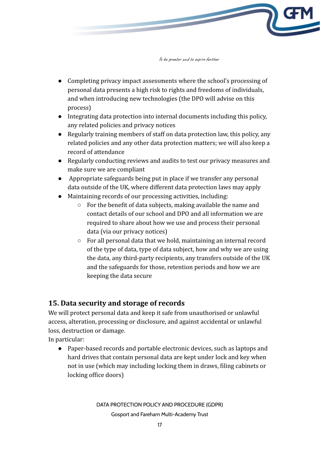

- Completing privacy impact assessments where the school's processing of personal data presents a high risk to rights and freedoms of individuals, and when introducing new technologies (the DPO will advise on this process)
- Integrating data protection into internal documents including this policy, any related policies and privacy notices
- Regularly training members of staff on data protection law, this policy, any related policies and any other data protection matters; we will also keep a record of attendance
- Regularly conducting reviews and audits to test our privacy measures and make sure we are compliant
- Appropriate safeguards being put in place if we transfer any personal data outside of the UK, where different data protection laws may apply
- Maintaining records of our processing activities, including:
	- For the benefit of data subjects, making available the name and contact details of our school and DPO and all information we are required to share about how we use and process their personal data (via our privacy notices)
	- For all personal data that we hold, maintaining an internal record of the type of data, type of data subject, how and why we are using the data, any third-party recipients, any transfers outside of the UK and the safeguards for those, retention periods and how we are keeping the data secure

# <span id="page-17-0"></span>**15. Data security and storage of records**

We will protect personal data and keep it safe from unauthorised or unlawful access, alteration, processing or disclosure, and against accidental or unlawful loss, destruction or damage.

In particular:

● Paper-based records and portable electronic devices, such as laptops and hard drives that contain personal data are kept under lock and key when not in use (which may including locking them in draws, filing cabinets or locking office doors)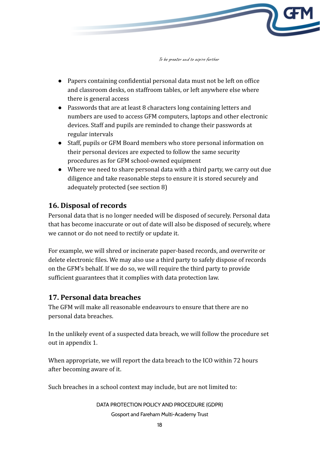

- Papers containing confidential personal data must not be left on office and classroom desks, on staffroom tables, or left anywhere else where there is general access
- Passwords that are at least 8 characters long containing letters and numbers are used to access GFM computers, laptops and other electronic devices. Staff and pupils are reminded to change their passwords at regular intervals
- Staff, pupils or GFM Board members who store personal information on their personal devices are expected to follow the same security procedures as for GFM school-owned equipment
- Where we need to share personal data with a third party, we carry out due diligence and take reasonable steps to ensure it is stored securely and adequately protected (see section 8)

# <span id="page-18-0"></span>**16. Disposal of records**

Personal data that is no longer needed will be disposed of securely. Personal data that has become inaccurate or out of date will also be disposed of securely, where we cannot or do not need to rectify or update it.

For example, we will shred or incinerate paper-based records, and overwrite or delete electronic files. We may also use a third party to safely dispose of records on the GFM's behalf. If we do so, we will require the third party to provide sufficient guarantees that it complies with data protection law.

# <span id="page-18-1"></span>**17. Personal data breaches**

The GFM will make all reasonable endeavours to ensure that there are no personal data breaches.

In the unlikely event of a suspected data breach, we will follow the procedure set out in appendix 1.

When appropriate, we will report the data breach to the ICO within 72 hours after becoming aware of it.

Such breaches in a school context may include, but are not limited to: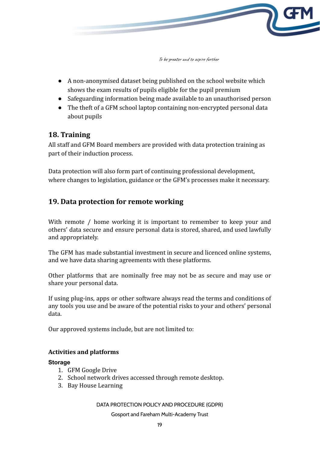

- A non-anonymised dataset being published on the school website which shows the exam results of pupils eligible for the pupil premium
- Safeguarding information being made available to an unauthorised person
- The theft of a GFM school laptop containing non-encrypted personal data about pupils

# <span id="page-19-0"></span>**18. Training**

All staff and GFM Board members are provided with data protection training as part of their induction process.

Data protection will also form part of continuing professional development, where changes to legislation, guidance or the GFM's processes make it necessary.

# <span id="page-19-1"></span>**19. Data protection for remote working**

With remote / home working it is important to remember to keep your and others' data secure and ensure personal data is stored, shared, and used lawfully and appropriately.

The GFM has made substantial investment in secure and licenced online systems, and we have data sharing agreements with these platforms.

Other platforms that are nominally free may not be as secure and may use or share your personal data.

If using plug-ins, apps or other software always read the terms and conditions of any tools you use and be aware of the potential risks to your and others' personal data.

Our approved systems include, but are not limited to:

### <span id="page-19-2"></span>**Activities and platforms**

#### <span id="page-19-3"></span>**Storage**

- 1. GFM Google Drive
- 2. School network drives accessed through remote desktop.
- 3. Bay House Learning

DATA PROTECTION POLICY AND PROCEDURE (GDPR)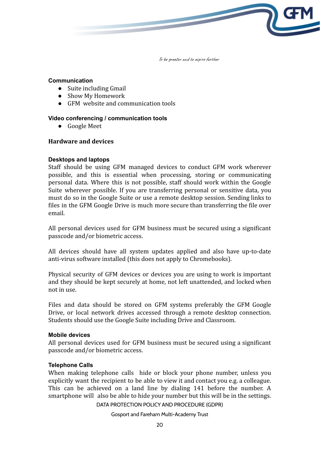

#### <span id="page-20-0"></span>**Communication**

- Suite including Gmail
- Show My Homework
- GFM website and communication tools

#### <span id="page-20-1"></span>**Video conferencing / communication tools**

● Google Meet

#### <span id="page-20-2"></span>**Hardware and devices**

#### <span id="page-20-3"></span>**Desktops and laptops**

Staff should be using GFM managed devices to conduct GFM work wherever possible, and this is essential when processing, storing or communicating personal data. Where this is not possible, staff should work within the Google Suite wherever possible. If you are transferring personal or sensitive data, you must do so in the Google Suite or use a remote desktop session. Sending links to files in the GFM Google Drive is much more secure than transferring the file over email.

All personal devices used for GFM business must be secured using a significant passcode and/or biometric access.

All devices should have all system updates applied and also have up-to-date anti-virus software installed (this does not apply to Chromebooks).

Physical security of GFM devices or devices you are using to work is important and they should be kept securely at home, not left unattended, and locked when not in use.

Files and data should be stored on GFM systems preferably the GFM Google Drive, or local network drives accessed through a remote desktop connection. Students should use the Google Suite including Drive and Classroom.

#### <span id="page-20-4"></span>**Mobile devices**

All personal devices used for GFM business must be secured using a significant passcode and/or biometric access.

#### <span id="page-20-5"></span>**Telephone Calls**

When making telephone calls hide or block your phone number, unless you explicitly want the recipient to be able to view it and contact you e.g. a colleague. This can be achieved on a land line by dialing 141 before the number. A smartphone will also be able to hide your number but this will be in the settings. DATA PROTECTION POLICY AND PROCEDURE (GDPR)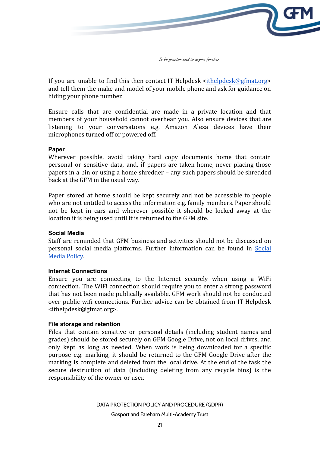

If you are unable to find this then contact IT Helpdesk  $\leq$ ithelpdesk@gfmat.org> and tell them the make and model of your mobile phone and ask for guidance on hiding your phone number.

Ensure calls that are confidential are made in a private location and that members of your household cannot overhear you. Also ensure devices that are listening to your conversations e.g. Amazon Alexa devices have their microphones turned off or powered off.

#### <span id="page-21-0"></span>**Paper**

Wherever possible, avoid taking hard copy documents home that contain personal or sensitive data, and, if papers are taken home, never placing those papers in a bin or using a home shredder – any such papers should be shredded back at the GFM in the usual way.

Paper stored at home should be kept securely and not be accessible to people who are not entitled to access the information e.g. family members. Paper should not be kept in cars and wherever possible it should be locked away at the location it is being used until it is returned to the GFM site.

#### <span id="page-21-1"></span>**Social Media**

Staff are reminded that GFM business and activities should not be discussed on personal social media platforms. Further information can be found in [Social](https://docs.google.com/document/d/1gADzHIOHQx00JRjGcwaJCeLkcwDERHKgBVHkRmE8VIk/edit#heading=h.ovs3a6fkmbll) [Media Policy](https://docs.google.com/document/d/1gADzHIOHQx00JRjGcwaJCeLkcwDERHKgBVHkRmE8VIk/edit#heading=h.ovs3a6fkmbll).

#### <span id="page-21-2"></span>**Internet Connections**

Ensure you are connecting to the Internet securely when using a WiFi connection. The WiFi connection should require you to enter a strong password that has not been made publically available. GFM work should not be conducted over public wifi connections. Further advice can be obtained from IT Helpdesk <ithelpdesk@gfmat.org>.

#### <span id="page-21-3"></span>**File storage and retention**

Files that contain sensitive or personal details (including student names and grades) should be stored securely on GFM Google Drive, not on local drives, and only kept as long as needed. When work is being downloaded for a specific purpose e.g. marking, it should be returned to the GFM Google Drive after the marking is complete and deleted from the local drive. At the end of the task the secure destruction of data (including deleting from any recycle bins) is the responsibility of the owner or user.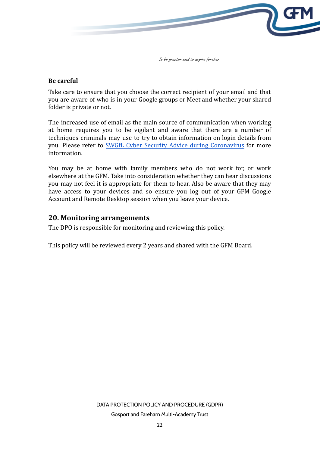### <span id="page-22-0"></span>**Be careful**

Take care to ensure that you choose the correct recipient of your email and that you are aware of who is in your Google groups or Meet and whether your shared folder is private or not.

The increased use of email as the main source of communication when working at home requires you to be vigilant and aware that there are a number of techniques criminals may use to try to obtain information on login details from you. Please refer to SWGfL Cyber Security Advice during [Coronavirus](https://swgfl.org.uk/magazine/swgfl-cyber-security-advice-during-coronavirus/) for more information.

You may be at home with family members who do not work for, or work elsewhere at the GFM. Take into consideration whether they can hear discussions you may not feel it is appropriate for them to hear. Also be aware that they may have access to your devices and so ensure you log out of your GFM Google Account and Remote Desktop session when you leave your device.

### <span id="page-22-1"></span>**20. Monitoring arrangements**

The DPO is responsible for monitoring and reviewing this policy.

This policy will be reviewed every 2 years and shared with the GFM Board.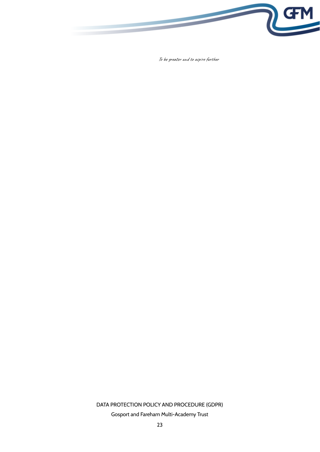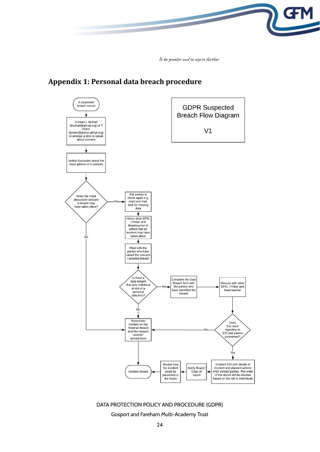

# <span id="page-24-0"></span>**Appendix 1: Personal data breach procedure**



DATA PROTECTION POLICY AND PROCEDURE (GDPR)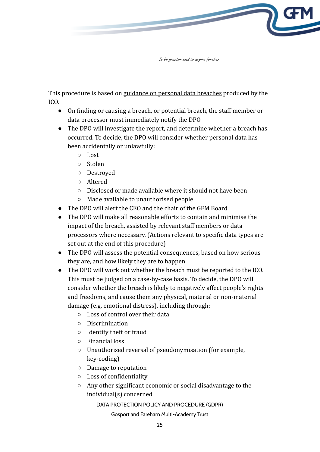This procedure is based on guidance on personal data breaches produced by the ICO.

- On finding or causing a breach, or potential breach, the staff member or data processor must immediately notify the DPO
- The DPO will investigate the report, and determine whether a breach has occurred. To decide, the DPO will consider whether personal data has been accidentally or unlawfully:
	- Lost
	- Stolen
	- Destroyed
	- Altered
	- Disclosed or made available where it should not have been
	- Made available to unauthorised people
- The DPO will alert the CEO and the chair of the GFM Board
- The DPO will make all reasonable efforts to contain and minimise the impact of the breach, assisted by relevant staff members or data processors where necessary. (Actions relevant to specific data types are set out at the end of this procedure)
- The DPO will assess the potential consequences, based on how serious they are, and how likely they are to happen
- The DPO will work out whether the breach must be reported to the ICO. This must be judged on a case-by-case basis. To decide, the DPO will consider whether the breach is likely to negatively affect people's rights and freedoms, and cause them any physical, material or non-material damage (e.g. emotional distress), including through:
	- Loss of control over their data
	- Discrimination
	- Identify theft or fraud
	- Financial loss
	- Unauthorised reversal of pseudonymisation (for example, key-coding)
	- Damage to reputation
	- Loss of confidentiality
	- Any other significant economic or social disadvantage to the individual(s) concerned

DATA PROTECTION POLICY AND PROCEDURE (GDPR)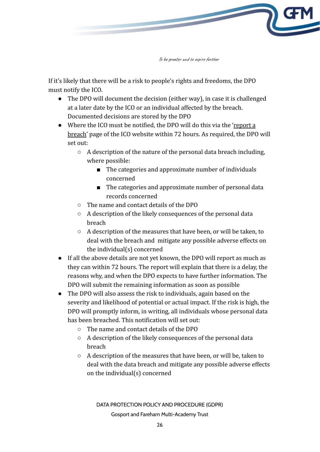

If it's likely that there will be a risk to people's rights and freedoms, the DPO must notify the ICO.

- The DPO will document the decision (either way), in case it is challenged at a later date by the ICO or an individual affected by the breach. Documented decisions are stored by the DPO
- Where the ICO must be notified, the DPO will do this via the 'report a breach' page of the ICO website within 72 hours. As required, the DPO will set out:
	- $\circ$  A description of the nature of the personal data breach including, where possible:
		- The categories and approximate number of individuals concerned
		- The categories and approximate number of personal data records concerned
	- The name and contact details of the DPO
	- A description of the likely consequences of the personal data breach
	- A description of the measures that have been, or will be taken, to deal with the breach and mitigate any possible adverse effects on the individual(s) concerned
- If all the above details are not yet known, the DPO will report as much as they can within 72 hours. The report will explain that there is a delay, the reasons why, and when the DPO expects to have further information. The DPO will submit the remaining information as soon as possible
- The DPO will also assess the risk to individuals, again based on the severity and likelihood of potential or actual impact. If the risk is high, the DPO will promptly inform, in writing, all individuals whose personal data has been breached. This notification will set out:
	- The name and contact details of the DPO
	- A description of the likely consequences of the personal data breach
	- A description of the measures that have been, or will be, taken to deal with the data breach and mitigate any possible adverse effects on the individual(s) concerned